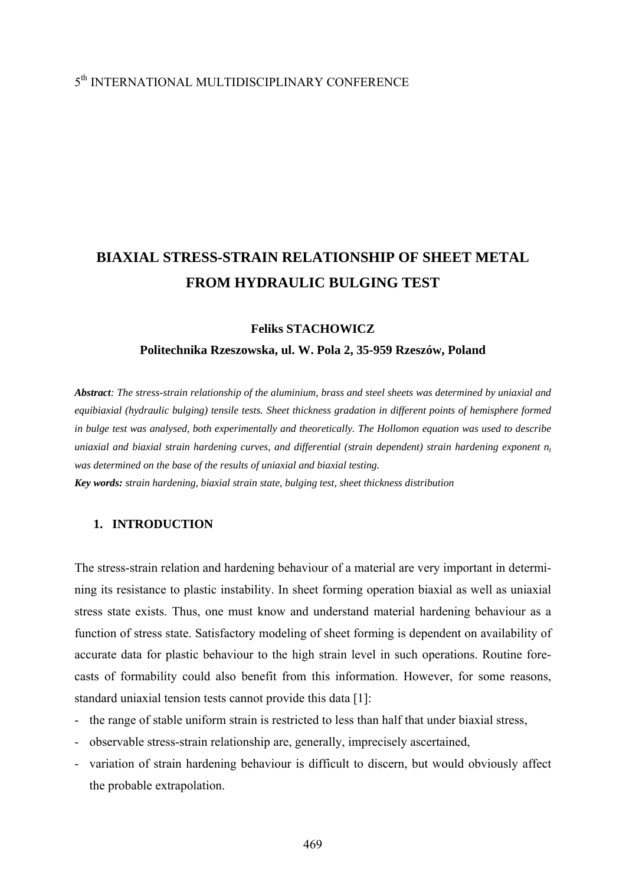## 5th INTERNATIONAL MULTIDISCIPLINARY CONFERENCE

# **BIAXIAL STRESS-STRAIN RELATIONSHIP OF SHEET METAL FROM HYDRAULIC BULGING TEST**

### **Feliks STACHOWICZ**

#### **Politechnika Rzeszowska, ul. W. Pola 2, 35-959 Rzeszów, Poland**

*Abstract: The stress-strain relationship of the aluminium, brass and steel sheets was determined by uniaxial and equibiaxial (hydraulic bulging) tensile tests. Sheet thickness gradation in different points of hemisphere formed in bulge test was analysed, both experimentally and theoretically. The Hollomon equation was used to describe uniaxial and biaxial strain hardening curves, and differential (strain dependent) strain hardening exponent n<sub>t</sub> was determined on the base of the results of uniaxial and biaxial testing. Key words: strain hardening, biaxial strain state, bulging test, sheet thickness distribution* 

# **1. INTRODUCTION**

The stress-strain relation and hardening behaviour of a material are very important in determining its resistance to plastic instability. In sheet forming operation biaxial as well as uniaxial stress state exists. Thus, one must know and understand material hardening behaviour as a function of stress state. Satisfactory modeling of sheet forming is dependent on availability of accurate data for plastic behaviour to the high strain level in such operations. Routine forecasts of formability could also benefit from this information. However, for some reasons, standard uniaxial tension tests cannot provide this data [1]:

- the range of stable uniform strain is restricted to less than half that under biaxial stress,
- observable stress-strain relationship are, generally, imprecisely ascertained,
- variation of strain hardening behaviour is difficult to discern, but would obviously affect the probable extrapolation.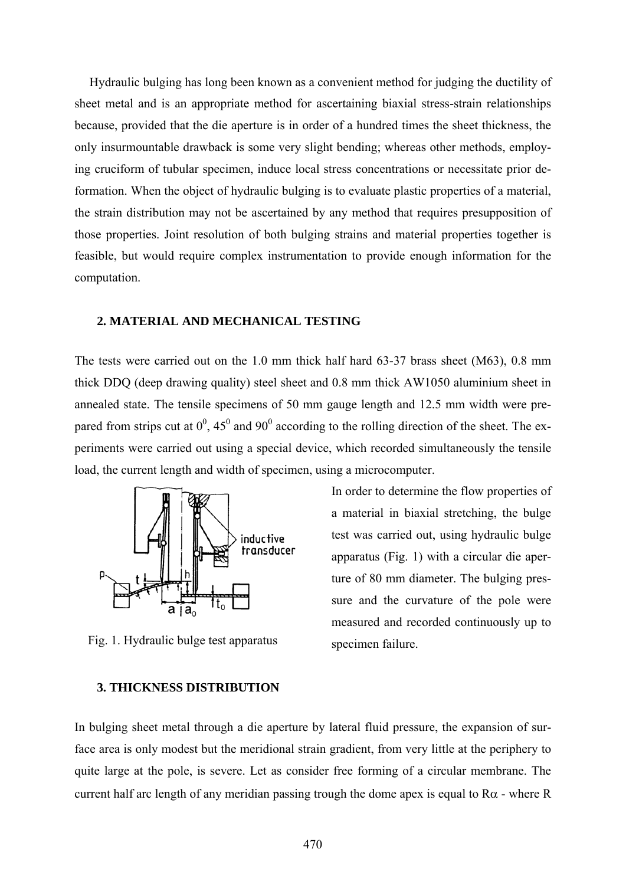Hydraulic bulging has long been known as a convenient method for judging the ductility of sheet metal and is an appropriate method for ascertaining biaxial stress-strain relationships because, provided that the die aperture is in order of a hundred times the sheet thickness, the only insurmountable drawback is some very slight bending; whereas other methods, employing cruciform of tubular specimen, induce local stress concentrations or necessitate prior deformation. When the object of hydraulic bulging is to evaluate plastic properties of a material, the strain distribution may not be ascertained by any method that requires presupposition of those properties. Joint resolution of both bulging strains and material properties together is feasible, but would require complex instrumentation to provide enough information for the computation.

#### **2. MATERIAL AND MECHANICAL TESTING**

The tests were carried out on the 1.0 mm thick half hard 63-37 brass sheet (M63), 0.8 mm thick DDQ (deep drawing quality) steel sheet and 0.8 mm thick AW1050 aluminium sheet in annealed state. The tensile specimens of 50 mm gauge length and 12.5 mm width were prepared from strips cut at  $0^0$ , 45<sup>0</sup> and 90<sup>0</sup> according to the rolling direction of the sheet. The experiments were carried out using a special device, which recorded simultaneously the tensile load, the current length and width of specimen, using a microcomputer.



Fig. 1. Hydraulic bulge test apparatus specimen failure.

In order to determine the flow properties of a material in biaxial stretching, the bulge test was carried out, using hydraulic bulge apparatus (Fig. 1) with a circular die aperture of 80 mm diameter. The bulging pressure and the curvature of the pole were measured and recorded continuously up to

#### **3. THICKNESS DISTRIBUTION**

In bulging sheet metal through a die aperture by lateral fluid pressure, the expansion of surface area is only modest but the meridional strain gradient, from very little at the periphery to quite large at the pole, is severe. Let as consider free forming of a circular membrane. The current half arc length of any meridian passing trough the dome apex is equal to  $R\alpha$  - where R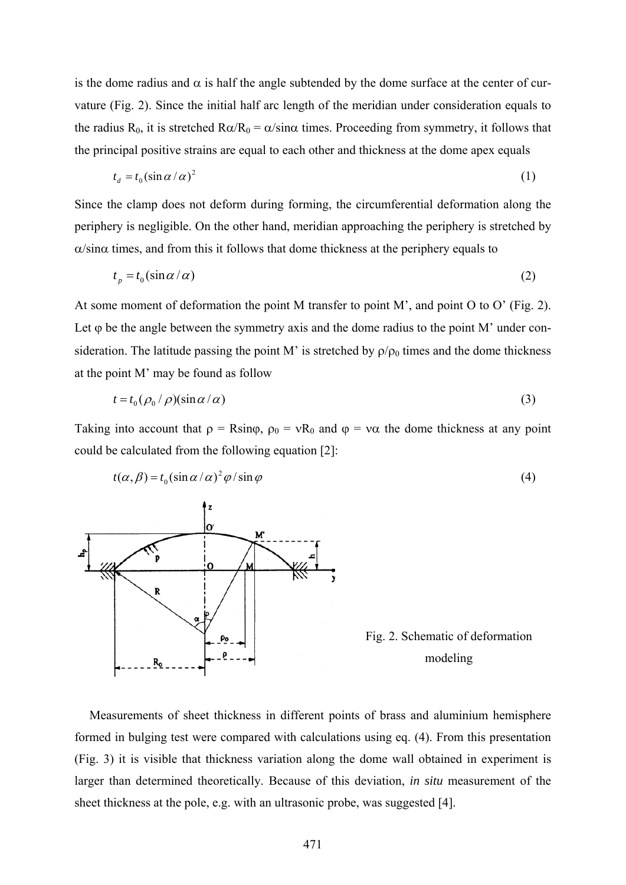is the dome radius and  $\alpha$  is half the angle subtended by the dome surface at the center of curvature (Fig. 2). Since the initial half arc length of the meridian under consideration equals to the radius R<sub>0</sub>, it is stretched  $R\alpha/R_0 = \alpha/\sin\alpha$  times. Proceeding from symmetry, it follows that the principal positive strains are equal to each other and thickness at the dome apex equals

$$
t_d = t_0 (\sin \alpha / \alpha)^2 \tag{1}
$$

Since the clamp does not deform during forming, the circumferential deformation along the periphery is negligible. On the other hand, meridian approaching the periphery is stretched by  $\alpha$ /sin $\alpha$  times, and from this it follows that dome thickness at the periphery equals to

$$
t_p = t_0 (\sin \alpha / \alpha) \tag{2}
$$

At some moment of deformation the point M transfer to point M', and point O to O' (Fig. 2). Let  $\varphi$  be the angle between the symmetry axis and the dome radius to the point M' under consideration. The latitude passing the point M' is stretched by  $\rho/\rho_0$  times and the dome thickness at the point M' may be found as follow

$$
t = t_0 (\rho_0 / \rho)(\sin \alpha / \alpha) \tag{3}
$$

Taking into account that  $\rho = \text{Rsin}\phi$ ,  $\rho_0 = vR_0$  and  $\phi = v\alpha$  the dome thickness at any point could be calculated from the following equation [2]:



 Measurements of sheet thickness in different points of brass and aluminium hemisphere formed in bulging test were compared with calculations using eq. (4). From this presentation (Fig. 3) it is visible that thickness variation along the dome wall obtained in experiment is larger than determined theoretically. Because of this deviation, *in situ* measurement of the sheet thickness at the pole, e.g. with an ultrasonic probe, was suggested [4].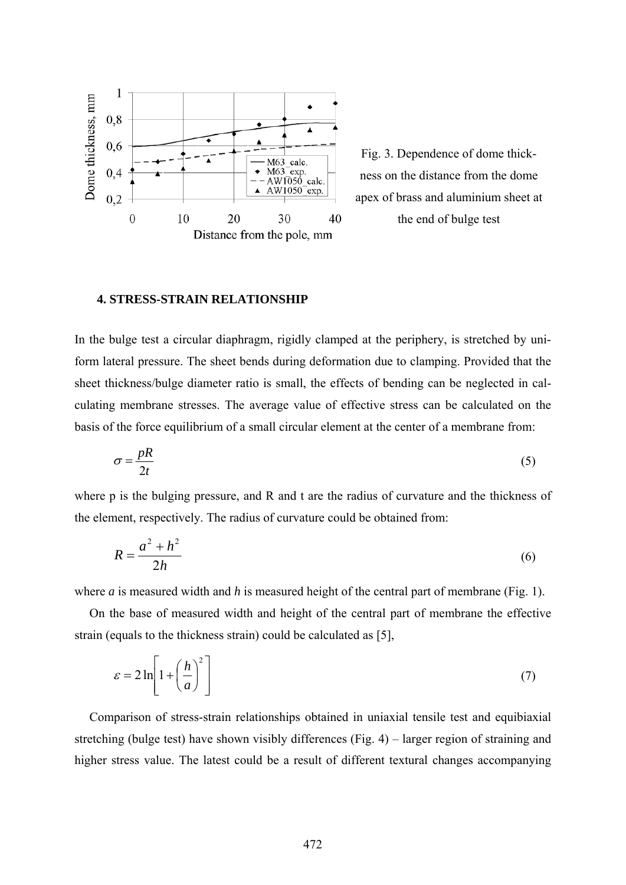

Fig. 3. Dependence of dome thickness on the distance from the dome apex of brass and aluminium sheet at the end of bulge test

### **4. STRESS-STRAIN RELATIONSHIP**

In the bulge test a circular diaphragm, rigidly clamped at the periphery, is stretched by uniform lateral pressure. The sheet bends during deformation due to clamping. Provided that the sheet thickness/bulge diameter ratio is small, the effects of bending can be neglected in calculating membrane stresses. The average value of effective stress can be calculated on the basis of the force equilibrium of a small circular element at the center of a membrane from:

$$
\sigma = \frac{pR}{2t} \tag{5}
$$

where p is the bulging pressure, and R and t are the radius of curvature and the thickness of the element, respectively. The radius of curvature could be obtained from:

$$
R = \frac{a^2 + h^2}{2h} \tag{6}
$$

where *a* is measured width and *h* is measured height of the central part of membrane (Fig. 1).

 On the base of measured width and height of the central part of membrane the effective strain (equals to the thickness strain) could be calculated as [5],

$$
\varepsilon = 2\ln\left[1 + \left(\frac{h}{a}\right)^2\right] \tag{7}
$$

 Comparison of stress-strain relationships obtained in uniaxial tensile test and equibiaxial stretching (bulge test) have shown visibly differences (Fig. 4) – larger region of straining and higher stress value. The latest could be a result of different textural changes accompanying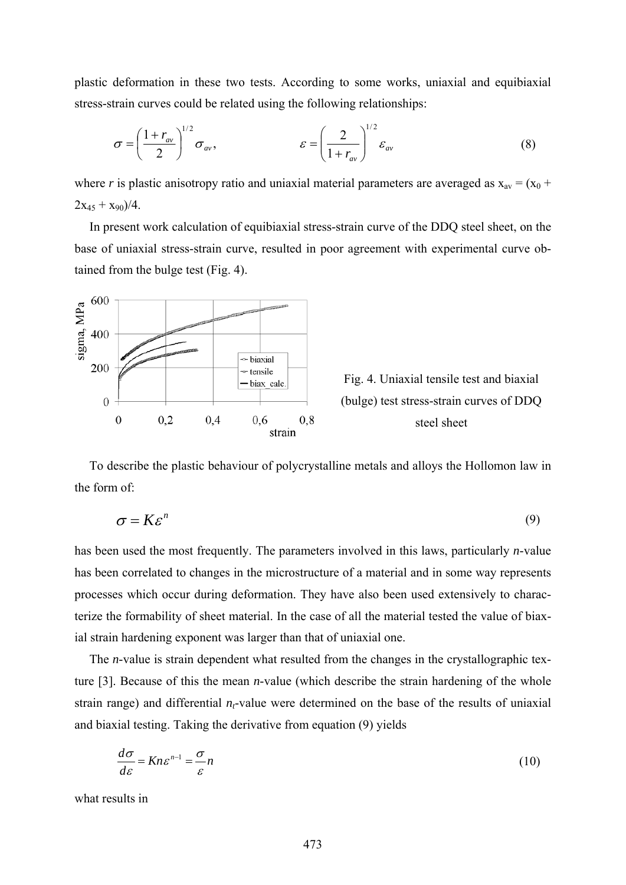plastic deformation in these two tests. According to some works, uniaxial and equibiaxial stress-strain curves could be related using the following relationships:

$$
\sigma = \left(\frac{1+r_{av}}{2}\right)^{1/2} \sigma_{av}, \qquad \varepsilon = \left(\frac{2}{1+r_{av}}\right)^{1/2} \varepsilon_{av} \qquad (8)
$$

where *r* is plastic anisotropy ratio and uniaxial material parameters are averaged as  $x_{av} = (x_0 +$  $2x_{45} + x_{90}/4$ .

 In present work calculation of equibiaxial stress-strain curve of the DDQ steel sheet, on the base of uniaxial stress-strain curve, resulted in poor agreement with experimental curve obtained from the bulge test (Fig. 4).





 To describe the plastic behaviour of polycrystalline metals and alloys the Hollomon law in the form of:

$$
\sigma = K\varepsilon^n \tag{9}
$$

has been used the most frequently. The parameters involved in this laws, particularly *n*-value has been correlated to changes in the microstructure of a material and in some way represents processes which occur during deformation. They have also been used extensively to characterize the formability of sheet material. In the case of all the material tested the value of biaxial strain hardening exponent was larger than that of uniaxial one.

The *n*-value is strain dependent what resulted from the changes in the crystallographic texture [3]. Because of this the mean *n*-value (which describe the strain hardening of the whole strain range) and differential  $n_t$ -value were determined on the base of the results of uniaxial and biaxial testing. Taking the derivative from equation (9) yields

$$
\frac{d\sigma}{d\varepsilon} = K n\varepsilon^{n-1} = \frac{\sigma}{\varepsilon}n\tag{10}
$$

what results in